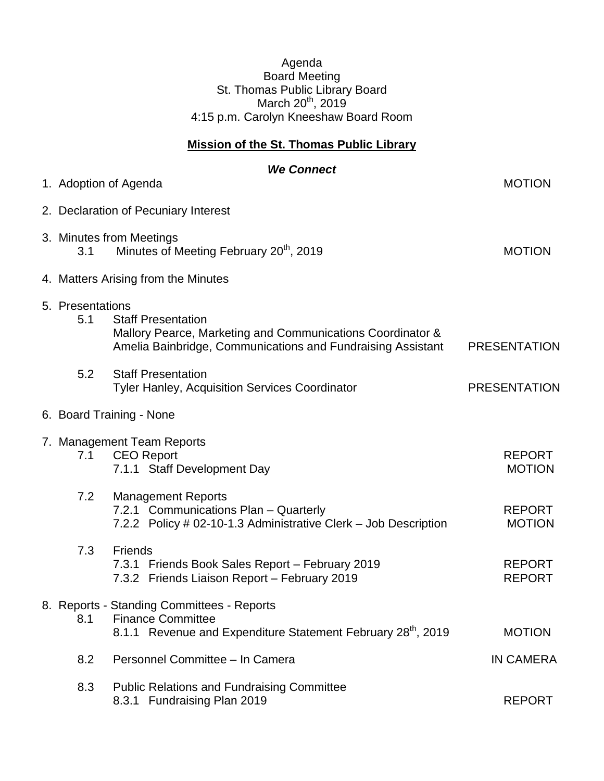## Agenda Board Meeting St. Thomas Public Library Board March 20<sup>th</sup>, 2019 4:15 p.m. Carolyn Kneeshaw Board Room

## **Mission of the St. Thomas Public Library**

| <b>We Connect</b><br>1. Adoption of Agenda                                                                                                                                        | <b>MOTION</b>                  |
|-----------------------------------------------------------------------------------------------------------------------------------------------------------------------------------|--------------------------------|
| 2. Declaration of Pecuniary Interest                                                                                                                                              |                                |
| 3. Minutes from Meetings<br>Minutes of Meeting February 20 <sup>th</sup> , 2019<br>3.1                                                                                            | <b>MOTION</b>                  |
| 4. Matters Arising from the Minutes                                                                                                                                               |                                |
| 5. Presentations<br>5.1<br><b>Staff Presentation</b><br>Mallory Pearce, Marketing and Communications Coordinator &<br>Amelia Bainbridge, Communications and Fundraising Assistant | <b>PRESENTATION</b>            |
| 5.2<br><b>Staff Presentation</b><br><b>Tyler Hanley, Acquisition Services Coordinator</b>                                                                                         | <b>PRESENTATION</b>            |
| 6. Board Training - None                                                                                                                                                          |                                |
| 7. Management Team Reports<br><b>CEO Report</b><br>7.1<br>7.1.1 Staff Development Day                                                                                             | <b>REPORT</b><br><b>MOTION</b> |
| 7.2<br><b>Management Reports</b><br>7.2.1 Communications Plan - Quarterly<br>7.2.2 Policy # 02-10-1.3 Administrative Clerk - Job Description                                      | <b>REPORT</b><br><b>MOTION</b> |
| 7.3<br>Friends<br>7.3.1 Friends Book Sales Report - February 2019<br>7.3.2 Friends Liaison Report - February 2019                                                                 | <b>REPORT</b><br><b>REPORT</b> |
| 8. Reports - Standing Committees - Reports<br><b>Finance Committee</b><br>8.1<br>8.1.1 Revenue and Expenditure Statement February 28 <sup>th</sup> , 2019                         | <b>MOTION</b>                  |
| 8.2<br>Personnel Committee - In Camera                                                                                                                                            | <b>IN CAMERA</b>               |
| 8.3<br><b>Public Relations and Fundraising Committee</b><br>8.3.1 Fundraising Plan 2019                                                                                           | <b>REPORT</b>                  |